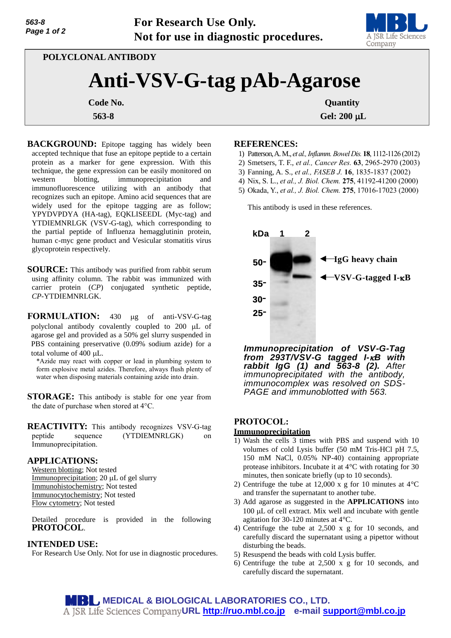**For Research Use Only. Not for use in diagnostic procedures.**



**POLYCLONAL ANTIBODY**

# **Anti-VSV-G-tag pAb-Agarose**

**563-8 Gel: 200 L**

**Code No.** Quantity **Quantity** 

**BACKGROUND:** Epitope tagging has widely been accepted technique that fuse an epitope peptide to a certain protein as a marker for gene expression. With this technique, the gene expression can be easily monitored on western blotting, immunoprecipitation and immunofluorescence utilizing with an antibody that recognizes such an epitope. Amino acid sequences that are widely used for the epitope tagging are as follow; YPYDVPDYA (HA-tag), EQKLISEEDL (Myc-tag) and YTDIEMNRLGK (VSV-G-tag), which corresponding to the partial peptide of Influenza hemagglutinin protein, human c-myc gene product and Vesicular stomatitis virus glycoprotein respectively.

**SOURCE:** This antibody was purified from rabbit serum using affinity column. The rabbit was immunized with carrier protein (*CP*) conjugated synthetic peptide, *CP*-YTDIEMNRLGK.

FORMULATION: 430 µg of anti-VSV-G-tag polyclonal antibody covalently coupled to  $200 \mu L$  of agarose gel and provided as a 50% gel slurry suspended in PBS containing preservative (0.09% sodium azide) for a total volume of 400 µL.

\*Azide may react with copper or lead in plumbing system to form explosive metal azides. Therefore, always flush plenty of water when disposing materials containing azide into drain.

**STORAGE:** This antibody is stable for one year from the date of purchase when stored at 4°C.

**REACTIVITY:** This antibody recognizes VSV-G-tag peptide sequence (YTDIEMNRLGK) on Immunoprecipitation.

## **APPLICATIONS:**

Western blotting; Not tested Immunoprecipitation;  $20 \mu L$  of gel slurry Immunohistochemistry; Not tested Immunocytochemistry; Not tested Flow cytometry; Not tested

Detailed procedure is provided in the following **PROTOCOL**.

## **INTENDED USE:**

For Research Use Only. Not for use in diagnostic procedures.

#### **REFERENCES:**

- 1) Patterson, A. M., *et al., Inflamm. Bowel Dis.* **18**, 1112-1126 (2012)
- 2) Smetsers, T. F., *et al., Cancer Res.* **63**, 2965-2970 (2003)
- 3) Fanning, A. S., *et al., FASEB J.* **16**, 1835-1837 (2002)
- 4) Nix, S. L., *et al., J. Biol. Chem.* **275**, 41192-41200 (2000)
- 5) Okada, Y., *et al., J. Biol. Chem.* **275**, 17016-17023 (2000)

This antibody is used in these references.



*Immunoprecipitation of VSV-G-Tag from 293T/VSV-G tagged I-B with rabbit IgG (1) and 563-8 (2). After immunoprecipitated with the antibody, immunocomplex was resolved on SDS-PAGE and immunoblotted with 563.* 

# **PROTOCOL:**

#### **Immunoprecipitation**

- 1) Wash the cells 3 times with PBS and suspend with 10 volumes of cold Lysis buffer (50 mM Tris-HCl pH 7.5, 150 mM NaCl, 0.05% NP-40) containing appropriate protease inhibitors. Incubate it at 4°C with rotating for 30 minutes, then sonicate briefly (up to 10 seconds).
- 2) Centrifuge the tube at 12,000 x g for 10 minutes at 4°C and transfer the supernatant to another tube.
- 3) Add agarose as suggested in the **APPLICATIONS** into  $100 \mu L$  of cell extract. Mix well and incubate with gentle agitation for 30-120 minutes at 4°C.
- 4) Centrifuge the tube at 2,500 x g for 10 seconds, and carefully discard the supernatant using a pipettor without disturbing the beads.
- 5) Resuspend the beads with cold Lysis buffer.
- 6) Centrifuge the tube at 2,500 x g for 10 seconds, and carefully discard the supernatant.

**MEDICAL & BIOLOGICAL LABORATORIES CO., LTD. URL [http://ruo.mbl.co.jp](https://ruo.mbl.co.jp/) e-mail [support@mbl.co.jp](mailto:support@mbl.co.jp)**